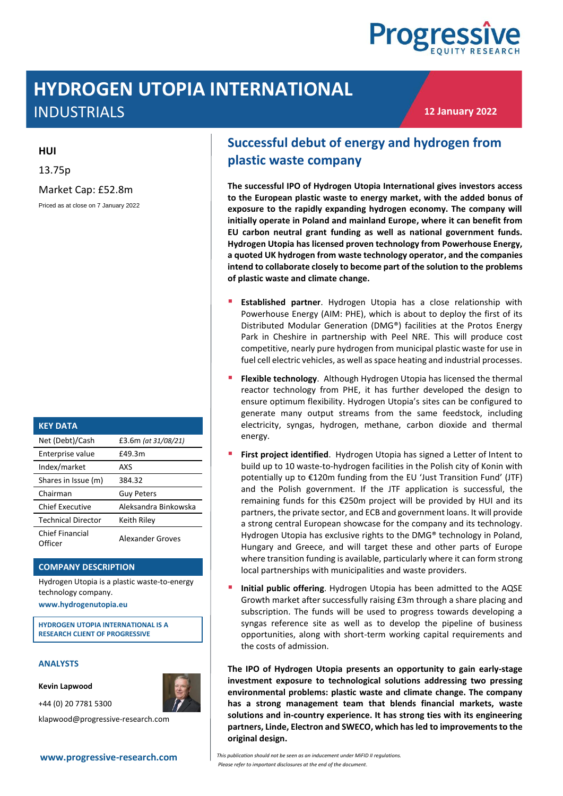

# **HYDROGEN UTOPIA INTERNATIONAL** INDUSTRIALS

**12 January 2022**

#### **HUI**

13.75p

Market Cap: £52.8m

Priced as at close on 7 January 2022

| <b>KEY DATA</b>                   |                      |
|-----------------------------------|----------------------|
| Net (Debt)/Cash                   | £3.6m (at 31/08/21)  |
| Enterprise value                  | £49.3m               |
| Index/market                      | AXS                  |
| Shares in Issue (m)               | 384.32               |
| Chairman                          | <b>Guy Peters</b>    |
| Chief Executive                   | Aleksandra Binkowska |
| <b>Technical Director</b>         | Keith Riley          |
| <b>Chief Financial</b><br>Officer | Alexander Groves     |

#### **COMPANY DESCRIPTION**

Hydrogen Utopia is a plastic waste-to-energy technology company.

**www.hydrogenutopia.eu**

**HYDROGEN UTOPIA INTERNATIONAL IS A RESEARCH CLIENT OF PROGRESSIVE**

#### **ANALYSTS**

**Kevin Lapwood**

+44 (0) 20 7781 5300



klapwood@progressive-research.com

## **Successful debut of energy and hydrogen from plastic waste company**

**The successful IPO of Hydrogen Utopia International gives investors access to the European plastic waste to energy market, with the added bonus of exposure to the rapidly expanding hydrogen economy. The company will initially operate in Poland and mainland Europe, where it can benefit from EU carbon neutral grant funding as well as national government funds. Hydrogen Utopia has licensed proven technology from Powerhouse Energy, a quoted UK hydrogen from waste technology operator, and the companies intend to collaborate closely to become part of the solution to the problems of plastic waste and climate change.**

- **Established partner**. Hydrogen Utopia has a close relationship with Powerhouse Energy (AIM: PHE), which is about to deploy the first of its Distributed Modular Generation (DMG®) facilities at the Protos Energy Park in Cheshire in partnership with Peel NRE. This will produce cost competitive, nearly pure hydrogen from municipal plastic waste for use in fuel cell electric vehicles, as well as space heating and industrial processes.
- **Flexible technology.** Although Hydrogen Utopia has licensed the thermal reactor technology from PHE, it has further developed the design to ensure optimum flexibility. Hydrogen Utopia's sites can be configured to generate many output streams from the same feedstock, including electricity, syngas, hydrogen, methane, carbon dioxide and thermal energy.
- First project identified. Hydrogen Utopia has signed a Letter of Intent to build up to 10 waste-to-hydrogen facilities in the Polish city of Konin with potentially up to €120m funding from the EU 'Just Transition Fund' (JTF) and the Polish government. If the JTF application is successful, the remaining funds for this €250m project will be provided by HUI and its partners, the private sector, and ECB and government loans. It will provide a strong central European showcase for the company and its technology. Hydrogen Utopia has exclusive rights to the DMG® technology in Poland, Hungary and Greece, and will target these and other parts of Europe where transition funding is available, particularly where it can form strong local partnerships with municipalities and waste providers.
- **· Initial public offering**. Hydrogen Utopia has been admitted to the AQSE Growth market after successfully raising £3m through a share placing and subscription. The funds will be used to progress towards developing a syngas reference site as well as to develop the pipeline of business opportunities, along with short-term working capital requirements and the costs of admission.

**The IPO of Hydrogen Utopia presents an opportunity to gain early-stage investment exposure to technological solutions addressing two pressing environmental problems: plastic waste and climate change. The company has a strong management team that blends financial markets, waste solutions and in-country experience. It has strong ties with its engineering partners, Linde, Electron and SWECO, which has led to improvements to the original design.** 

**[www.progressive-research.com](http://www.progressive-research.com/)** *This publication should not be seen as an inducement under MiFID II regulations. Please refer to important disclosures at the end of the document*.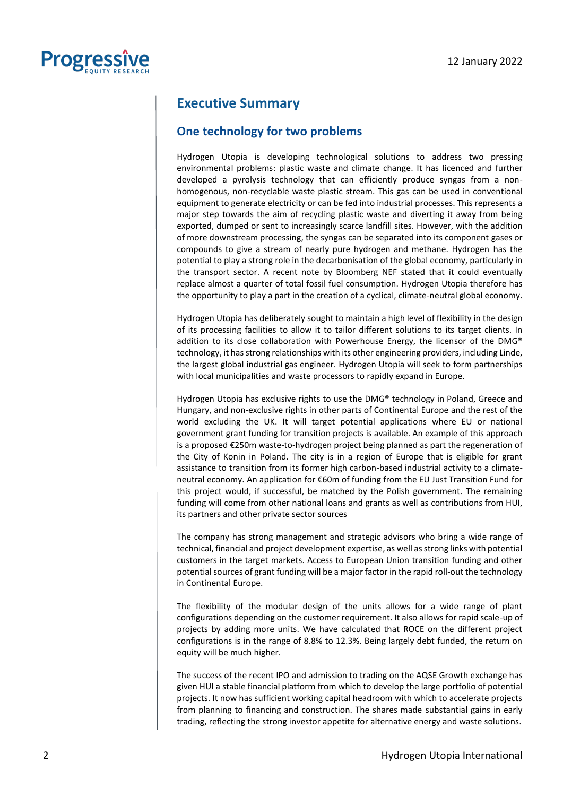

### **Executive Summary**

### **One technology for two problems**

Hydrogen Utopia is developing technological solutions to address two pressing environmental problems: plastic waste and climate change. It has licenced and further developed a pyrolysis technology that can efficiently produce syngas from a nonhomogenous, non-recyclable waste plastic stream. This gas can be used in conventional equipment to generate electricity or can be fed into industrial processes. This represents a major step towards the aim of recycling plastic waste and diverting it away from being exported, dumped or sent to increasingly scarce landfill sites. However, with the addition of more downstream processing, the syngas can be separated into its component gases or compounds to give a stream of nearly pure hydrogen and methane. Hydrogen has the potential to play a strong role in the decarbonisation of the global economy, particularly in the transport sector. A recent note by Bloomberg NEF stated that it could eventually replace almost a quarter of total fossil fuel consumption. Hydrogen Utopia therefore has the opportunity to play a part in the creation of a cyclical, climate-neutral global economy.

Hydrogen Utopia has deliberately sought to maintain a high level of flexibility in the design of its processing facilities to allow it to tailor different solutions to its target clients. In addition to its close collaboration with Powerhouse Energy, the licensor of the DMG® technology, it has strong relationships with its other engineering providers, including Linde, the largest global industrial gas engineer. Hydrogen Utopia will seek to form partnerships with local municipalities and waste processors to rapidly expand in Europe.

Hydrogen Utopia has exclusive rights to use the DMG® technology in Poland, Greece and Hungary, and non-exclusive rights in other parts of Continental Europe and the rest of the world excluding the UK. It will target potential applications where EU or national government grant funding for transition projects is available. An example of this approach is a proposed €250m waste-to-hydrogen project being planned as part the regeneration of the City of Konin in Poland. The city is in a region of Europe that is eligible for grant assistance to transition from its former high carbon-based industrial activity to a climateneutral economy. An application for €60m of funding from the EU Just Transition Fund for this project would, if successful, be matched by the Polish government. The remaining funding will come from other national loans and grants as well as contributions from HUI, its partners and other private sector sources

The company has strong management and strategic advisors who bring a wide range of technical, financial and project development expertise, as well as strong links with potential customers in the target markets. Access to European Union transition funding and other potential sources of grant funding will be a major factor in the rapid roll-out the technology in Continental Europe.

The flexibility of the modular design of the units allows for a wide range of plant configurations depending on the customer requirement. It also allows for rapid scale-up of projects by adding more units. We have calculated that ROCE on the different project configurations is in the range of 8.8% to 12.3%. Being largely debt funded, the return on equity will be much higher.

The success of the recent IPO and admission to trading on the AQSE Growth exchange has given HUI a stable financial platform from which to develop the large portfolio of potential projects. It now has sufficient working capital headroom with which to accelerate projects from planning to financing and construction. The shares made substantial gains in early trading, reflecting the strong investor appetite for alternative energy and waste solutions.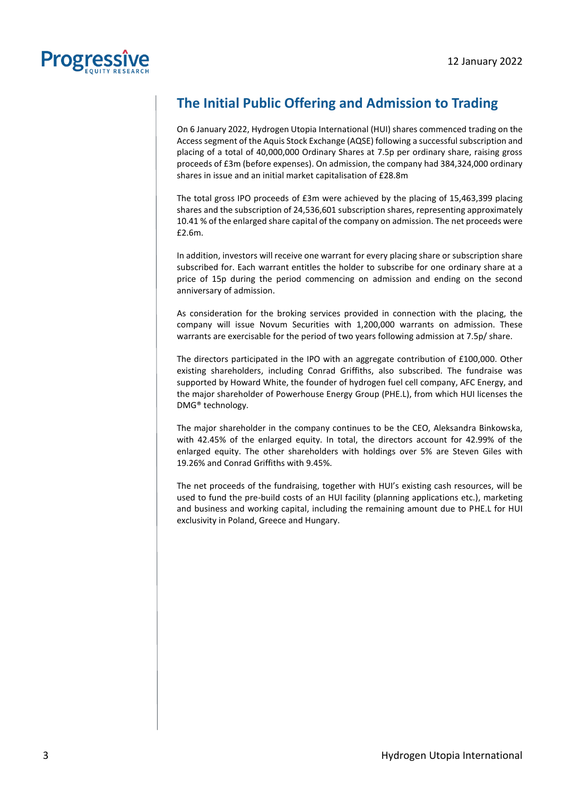

## **The Initial Public Offering and Admission to Trading**

On 6 January 2022, Hydrogen Utopia International (HUI) shares commenced trading on the Access segment of the Aquis Stock Exchange (AQSE) following a successful subscription and placing of a total of 40,000,000 Ordinary Shares at 7.5p per ordinary share, raising gross proceeds of £3m (before expenses). On admission, the company had 384,324,000 ordinary shares in issue and an initial market capitalisation of £28.8m

The total gross IPO proceeds of £3m were achieved by the placing of 15,463,399 placing shares and the subscription of 24,536,601 subscription shares, representing approximately 10.41 % of the enlarged share capital of the company on admission. The net proceeds were £2.6m.

In addition, investors will receive one warrant for every placing share or subscription share subscribed for. Each warrant entitles the holder to subscribe for one ordinary share at a price of 15p during the period commencing on admission and ending on the second anniversary of admission.

As consideration for the broking services provided in connection with the placing, the company will issue Novum Securities with 1,200,000 warrants on admission. These warrants are exercisable for the period of two years following admission at 7.5p/ share.

The directors participated in the IPO with an aggregate contribution of £100,000. Other existing shareholders, including Conrad Griffiths, also subscribed. The fundraise was supported by Howard White, the founder of hydrogen fuel cell company, AFC Energy, and the major shareholder of Powerhouse Energy Group (PHE.L), from which HUI licenses the DMG® technology.

The major shareholder in the company continues to be the CEO, Aleksandra Binkowska, with 42.45% of the enlarged equity. In total, the directors account for 42.99% of the enlarged equity. The other shareholders with holdings over 5% are Steven Giles with 19.26% and Conrad Griffiths with 9.45%.

The net proceeds of the fundraising, together with HUI's existing cash resources, will be used to fund the pre-build costs of an HUI facility (planning applications etc.), marketing and business and working capital, including the remaining amount due to PHE.L for HUI exclusivity in Poland, Greece and Hungary.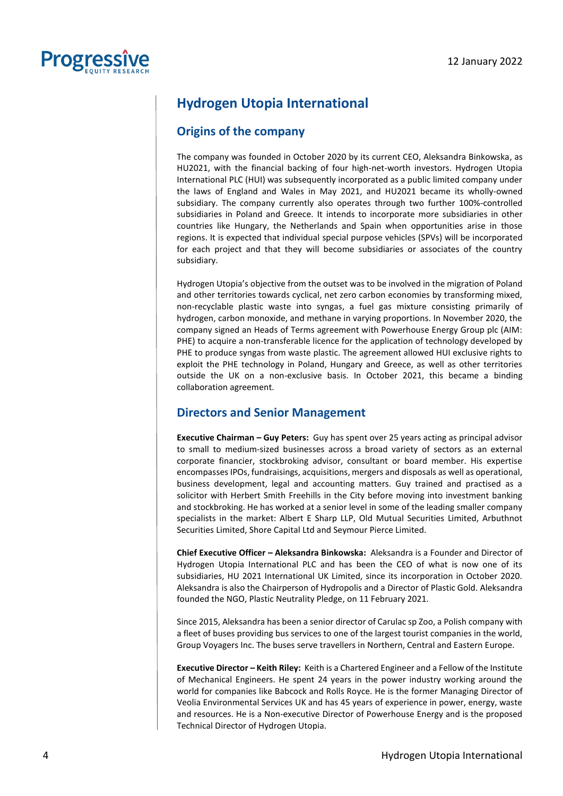

### **Hydrogen Utopia International**

### **Origins of the company**

The company was founded in October 2020 by its current CEO, Aleksandra Binkowska, as HU2021, with the financial backing of four high-net-worth investors. Hydrogen Utopia International PLC (HUI) was subsequently incorporated as a public limited company under the laws of England and Wales in May 2021, and HU2021 became its wholly-owned subsidiary. The company currently also operates through two further 100%-controlled subsidiaries in Poland and Greece. It intends to incorporate more subsidiaries in other countries like Hungary, the Netherlands and Spain when opportunities arise in those regions. It is expected that individual special purpose vehicles (SPVs) will be incorporated for each project and that they will become subsidiaries or associates of the country subsidiary.

Hydrogen Utopia's objective from the outset was to be involved in the migration of Poland and other territories towards cyclical, net zero carbon economies by transforming mixed, non-recyclable plastic waste into syngas, a fuel gas mixture consisting primarily of hydrogen, carbon monoxide, and methane in varying proportions. In November 2020, the company signed an Heads of Terms agreement with Powerhouse Energy Group plc (AIM: PHE) to acquire a non-transferable licence for the application of technology developed by PHE to produce syngas from waste plastic. The agreement allowed HUI exclusive rights to exploit the PHE technology in Poland, Hungary and Greece, as well as other territories outside the UK on a non-exclusive basis. In October 2021, this became a binding collaboration agreement.

### **Directors and Senior Management**

**Executive Chairman – Guy Peters:** Guy has spent over 25 years acting as principal advisor to small to medium-sized businesses across a broad variety of sectors as an external corporate financier, stockbroking advisor, consultant or board member. His expertise encompasses IPOs, fundraisings, acquisitions, mergers and disposals as well as operational, business development, legal and accounting matters. Guy trained and practised as a solicitor with Herbert Smith Freehills in the City before moving into investment banking and stockbroking. He has worked at a senior level in some of the leading smaller company specialists in the market: Albert E Sharp LLP, Old Mutual Securities Limited, Arbuthnot Securities Limited, Shore Capital Ltd and Seymour Pierce Limited.

**Chief Executive Officer – Aleksandra Binkowska:** Aleksandra is a Founder and Director of Hydrogen Utopia International PLC and has been the CEO of what is now one of its subsidiaries, HU 2021 International UK Limited, since its incorporation in October 2020. Aleksandra is also the Chairperson of Hydropolis and a Director of Plastic Gold. Aleksandra founded the NGO, Plastic Neutrality Pledge, on 11 February 2021.

Since 2015, Aleksandra has been a senior director of Carulac sp Zoo, a Polish company with a fleet of buses providing bus services to one of the largest tourist companies in the world, Group Voyagers Inc. The buses serve travellers in Northern, Central and Eastern Europe.

**Executive Director – Keith Riley:** Keith is a Chartered Engineer and a Fellow of the Institute of Mechanical Engineers. He spent 24 years in the power industry working around the world for companies like Babcock and Rolls Royce. He is the former Managing Director of Veolia Environmental Services UK and has 45 years of experience in power, energy, waste and resources. He is a Non-executive Director of Powerhouse Energy and is the proposed Technical Director of Hydrogen Utopia.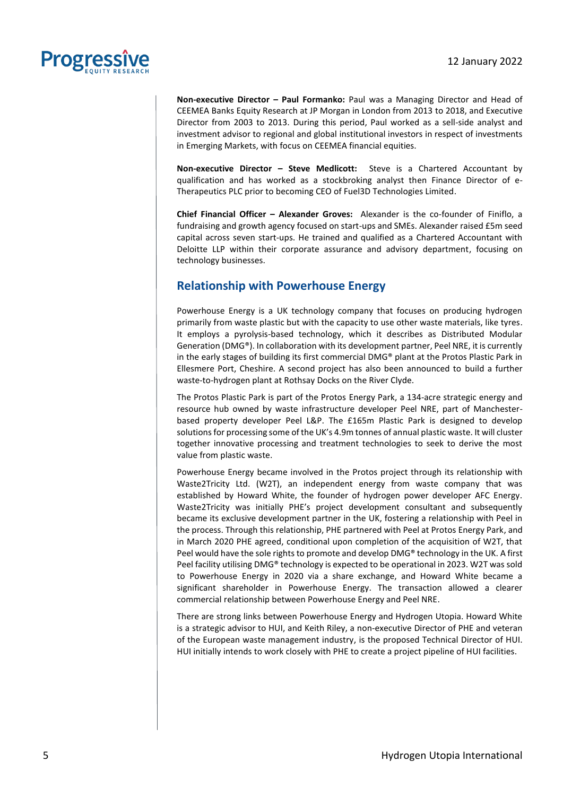

**Non-executive Director – Paul Formanko:** Paul was a Managing Director and Head of CEEMEA Banks Equity Research at JP Morgan in London from 2013 to 2018, and Executive Director from 2003 to 2013. During this period, Paul worked as a sell-side analyst and investment advisor to regional and global institutional investors in respect of investments in Emerging Markets, with focus on CEEMEA financial equities.

**Non-executive Director – Steve Medlicott:** Steve is a Chartered Accountant by qualification and has worked as a stockbroking analyst then Finance Director of e-Therapeutics PLC prior to becoming CEO of Fuel3D Technologies Limited.

**Chief Financial Officer – Alexander Groves:** Alexander is the co-founder of Finiflo, a fundraising and growth agency focused on start-ups and SMEs. Alexander raised £5m seed capital across seven start-ups. He trained and qualified as a Chartered Accountant with Deloitte LLP within their corporate assurance and advisory department, focusing on technology businesses.

### **Relationship with Powerhouse Energy**

Powerhouse Energy is a UK technology company that focuses on producing hydrogen primarily from waste plastic but with the capacity to use other waste materials, like tyres. It employs a pyrolysis-based technology, which it describes as Distributed Modular Generation (DMG®). In collaboration with its development partner, Peel NRE, it is currently in the early stages of building its first commercial DMG® plant at the Protos Plastic Park in Ellesmere Port, Cheshire. A second project has also been announced to build a further waste-to-hydrogen plant at Rothsay Docks on the River Clyde.

The Protos Plastic Park is part of the Protos Energy Park, a 134-acre strategic energy and resource hub owned by waste infrastructure developer Peel NRE, part of Manchesterbased property developer Peel L&P. The £165m Plastic Park is designed to develop solutions for processing some of the UK's 4.9m tonnes of annual plastic waste. It will cluster together innovative processing and treatment technologies to seek to derive the most value from plastic waste.

Powerhouse Energy became involved in the Protos project through its relationship with Waste2Tricity Ltd. (W2T), an independent energy from waste company that was established by Howard White, the founder of hydrogen power developer AFC Energy. Waste2Tricity was initially PHE's project development consultant and subsequently became its exclusive development partner in the UK, fostering a relationship with Peel in the process. Through this relationship, PHE partnered with Peel at Protos Energy Park, and in March 2020 PHE agreed, conditional upon completion of the acquisition of W2T, that Peel would have the sole rights to promote and develop DMG® technology in the UK. A first Peel facility utilising DMG® technology is expected to be operational in 2023. W2T was sold to Powerhouse Energy in 2020 via a share exchange, and Howard White became a significant shareholder in Powerhouse Energy. The transaction allowed a clearer commercial relationship between Powerhouse Energy and Peel NRE.

There are strong links between Powerhouse Energy and Hydrogen Utopia. Howard White is a strategic advisor to HUI, and Keith Riley, a non-executive Director of PHE and veteran of the European waste management industry, is the proposed Technical Director of HUI. HUI initially intends to work closely with PHE to create a project pipeline of HUI facilities.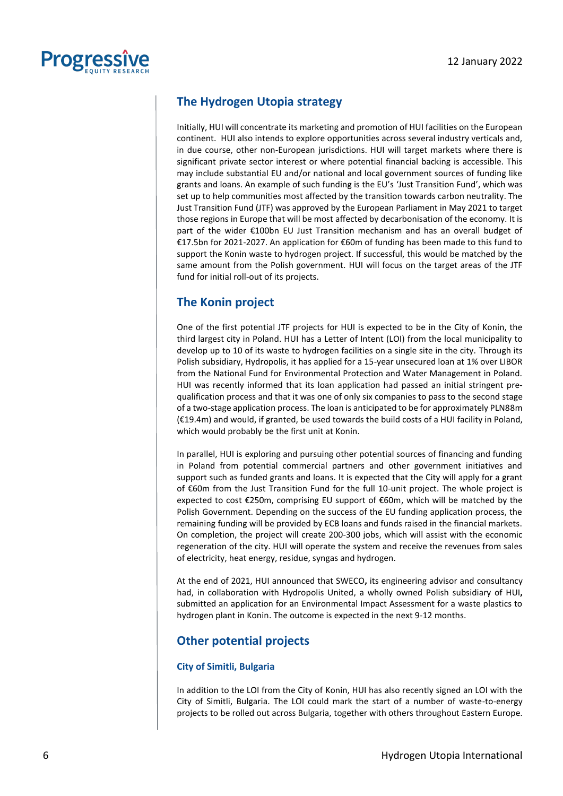

### **The Hydrogen Utopia strategy**

Initially, HUI will concentrate its marketing and promotion of HUI facilities on the European continent. HUI also intends to explore opportunities across several industry verticals and, in due course, other non-European jurisdictions. HUI will target markets where there is significant private sector interest or where potential financial backing is accessible. This may include substantial EU and/or national and local government sources of funding like grants and loans. An example of such funding is the EU's 'Just Transition Fund', which was set up to help communities most affected by the transition towards carbon neutrality. The Just Transition Fund (JTF) was approved by the European Parliament in May 2021 to target those regions in Europe that will be most affected by decarbonisation of the economy. It is part of the wider €100bn EU Just Transition mechanism and has an overall budget of €17.5bn for 2021-2027. An application for €60m of funding has been made to this fund to support the Konin waste to hydrogen project. If successful, this would be matched by the same amount from the Polish government. HUI will focus on the target areas of the JTF fund for initial roll-out of its projects.

### **The Konin project**

One of the first potential JTF projects for HUI is expected to be in the City of Konin, the third largest city in Poland. HUI has a Letter of Intent (LOI) from the local municipality to develop up to 10 of its waste to hydrogen facilities on a single site in the city. Through its Polish subsidiary, Hydropolis, it has applied for a 15-year unsecured loan at 1% over LIBOR from the National Fund for Environmental Protection and Water Management in Poland. HUI was recently informed that its loan application had passed an initial stringent prequalification process and that it was one of only six companies to pass to the second stage of a two-stage application process. The loan is anticipated to be for approximately PLN88m (€19.4m) and would, if granted, be used towards the build costs of a HUI facility in Poland, which would probably be the first unit at Konin.

In parallel, HUI is exploring and pursuing other potential sources of financing and funding in Poland from potential commercial partners and other government initiatives and support such as funded grants and loans. It is expected that the City will apply for a grant of €60m from the Just Transition Fund for the full 10-unit project. The whole project is expected to cost €250m, comprising EU support of €60m, which will be matched by the Polish Government. Depending on the success of the EU funding application process, the remaining funding will be provided by ECB loans and funds raised in the financial markets. On completion, the project will create 200-300 jobs, which will assist with the economic regeneration of the city. HUI will operate the system and receive the revenues from sales of electricity, heat energy, residue, syngas and hydrogen.

At the end of 2021, HUI announced that SWECO**,** its engineering advisor and consultancy had, in collaboration with Hydropolis United, a wholly owned Polish subsidiary of HUI**,**  submitted an application for an Environmental Impact Assessment for a waste plastics to hydrogen plant in Konin. The outcome is expected in the next 9-12 months.

### **Other potential projects**

#### **City of Simitli, Bulgaria**

In addition to the LOI from the City of Konin, HUI has also recently signed an LOI with the City of Simitli, Bulgaria. The LOI could mark the start of a number of waste-to-energy projects to be rolled out across Bulgaria, together with others throughout Eastern Europe.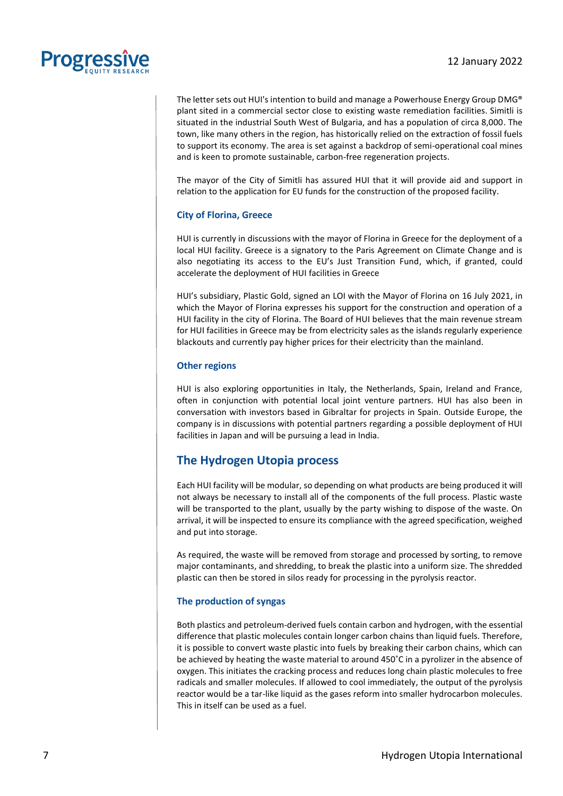The letter sets out HUI's intention to build and manage a Powerhouse Energy Group DMG® plant sited in a commercial sector close to existing waste remediation facilities. Simitli is situated in the industrial South West of Bulgaria, and has a population of circa 8,000. The town, like many others in the region, has historically relied on the extraction of fossil fuels to support its economy. The area is set against a backdrop of semi-operational coal mines and is keen to promote sustainable, carbon-free regeneration projects.

The mayor of the City of Simitli has assured HUI that it will provide aid and support in relation to the application for EU funds for the construction of the proposed facility.

#### **City of Florina, Greece**

HUI is currently in discussions with the mayor of Florina in Greece for the deployment of a local HUI facility. Greece is a signatory to the Paris Agreement on Climate Change and is also negotiating its access to the EU's Just Transition Fund, which, if granted, could accelerate the deployment of HUI facilities in Greece

HUI's subsidiary, Plastic Gold, signed an LOI with the Mayor of Florina on 16 July 2021, in which the Mayor of Florina expresses his support for the construction and operation of a HUI facility in the city of Florina. The Board of HUI believes that the main revenue stream for HUI facilities in Greece may be from electricity sales as the islands regularly experience blackouts and currently pay higher prices for their electricity than the mainland.

#### **Other regions**

HUI is also exploring opportunities in Italy, the Netherlands, Spain, Ireland and France, often in conjunction with potential local joint venture partners. HUI has also been in conversation with investors based in Gibraltar for projects in Spain. Outside Europe, the company is in discussions with potential partners regarding a possible deployment of HUI facilities in Japan and will be pursuing a lead in India.

### **The Hydrogen Utopia process**

Each HUI facility will be modular, so depending on what products are being produced it will not always be necessary to install all of the components of the full process. Plastic waste will be transported to the plant, usually by the party wishing to dispose of the waste. On arrival, it will be inspected to ensure its compliance with the agreed specification, weighed and put into storage.

As required, the waste will be removed from storage and processed by sorting, to remove major contaminants, and shredding, to break the plastic into a uniform size. The shredded plastic can then be stored in silos ready for processing in the pyrolysis reactor.

#### **The production of syngas**

Both plastics and petroleum-derived fuels contain carbon and hydrogen, with the essential difference that plastic molecules contain longer carbon chains than liquid fuels. Therefore, it is possible to convert waste plastic into fuels by breaking their carbon chains, which can be achieved by heating the waste material to around 450˚C in a pyrolizer in the absence of oxygen. This initiates the cracking process and reduces long chain plastic molecules to free radicals and smaller molecules. If allowed to cool immediately, the output of the pyrolysis reactor would be a tar-like liquid as the gases reform into smaller hydrocarbon molecules. This in itself can be used as a fuel.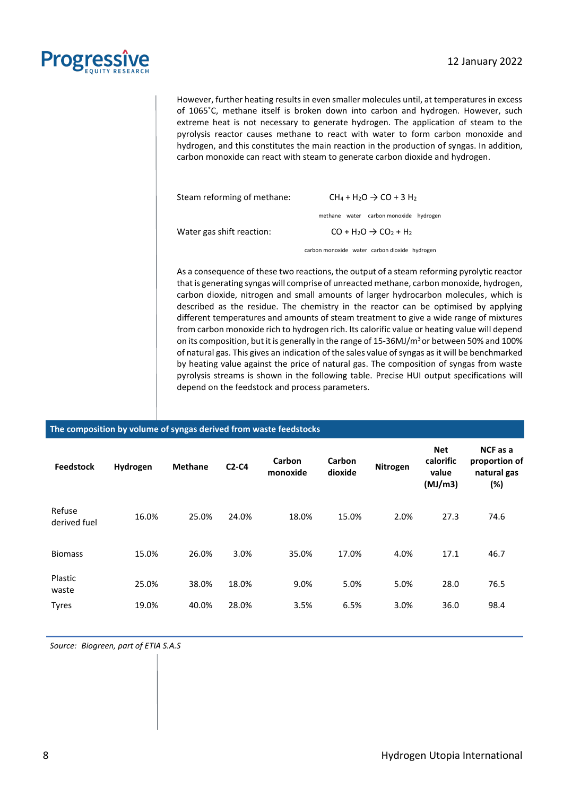

However, further heating results in even smaller molecules until, at temperatures in excess of 1065˚C, methane itself is broken down into carbon and hydrogen. However, such extreme heat is not necessary to generate hydrogen. The application of steam to the pyrolysis reactor causes methane to react with water to form carbon monoxide and hydrogen, and this constitutes the main reaction in the production of syngas. In addition, carbon monoxide can react with steam to generate carbon dioxide and hydrogen.

| Steam reforming of methane: | $CH_4 + H_2O \rightarrow CO + 3 H_2$   |  |  |
|-----------------------------|----------------------------------------|--|--|
|                             | methane water carbon monoxide hydrogen |  |  |
| Water gas shift reaction:   | $CO + H2O \rightarrow CO2 + H2$        |  |  |

carbon monoxide water carbon dioxide hydrogen

As a consequence of these two reactions, the output of a steam reforming pyrolytic reactor that is generating syngas will comprise of unreacted methane, carbon monoxide, hydrogen, carbon dioxide, nitrogen and small amounts of larger hydrocarbon molecules, which is described as the residue. The chemistry in the reactor can be optimised by applying different temperatures and amounts of steam treatment to give a wide range of mixtures from carbon monoxide rich to hydrogen rich. Its calorific value or heating value will depend on its composition, but it is generally in the range of 15-36MJ/ $m<sup>3</sup>$ or between 50% and 100% of natural gas. This gives an indication of the sales value of syngas as it will be benchmarked by heating value against the price of natural gas. The composition of syngas from waste pyrolysis streams is shown in the following table. Precise HUI output specifications will depend on the feedstock and process parameters.

#### **The composition by volume of syngas derived from waste feedstocks**

| <b>Feedstock</b>       | Hydrogen | <b>Methane</b> | $C2-C4$ | Carbon<br>monoxide | Carbon<br>dioxide | Nitrogen | <b>Net</b><br>calorific<br>value<br>(MJ/m3) | NCF as a<br>proportion of<br>natural gas<br>(%) |
|------------------------|----------|----------------|---------|--------------------|-------------------|----------|---------------------------------------------|-------------------------------------------------|
| Refuse<br>derived fuel | 16.0%    | 25.0%          | 24.0%   | 18.0%              | 15.0%             | 2.0%     | 27.3                                        | 74.6                                            |
| <b>Biomass</b>         | 15.0%    | 26.0%          | 3.0%    | 35.0%              | 17.0%             | 4.0%     | 17.1                                        | 46.7                                            |
| Plastic<br>waste       | 25.0%    | 38.0%          | 18.0%   | 9.0%               | 5.0%              | 5.0%     | 28.0                                        | 76.5                                            |
| <b>Tyres</b>           | 19.0%    | 40.0%          | 28.0%   | 3.5%               | 6.5%              | 3.0%     | 36.0                                        | 98.4                                            |

*Source: Biogreen, part of ETIA S.A.S*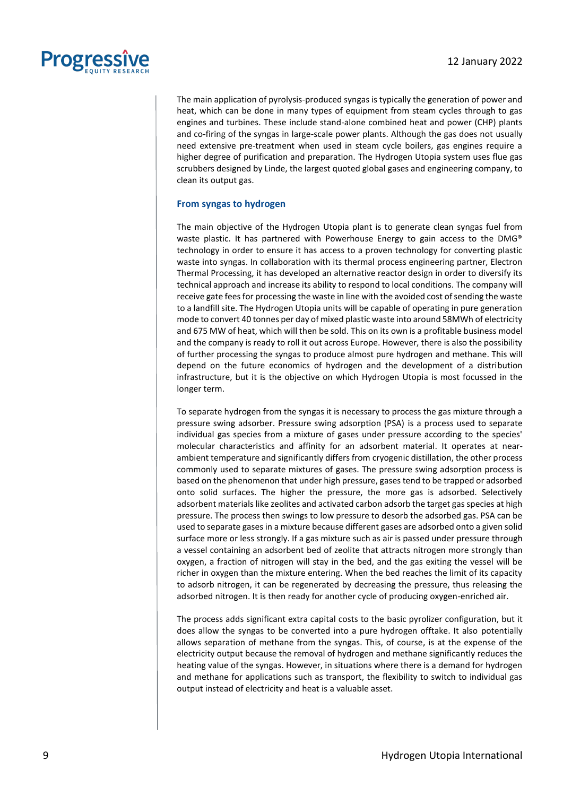

The main application of pyrolysis-produced syngas is typically the generation of power and heat, which can be done in many types of equipment from steam cycles through to gas engines and turbines. These include stand-alone combined heat and power (CHP) plants and co-firing of the syngas in large-scale power plants. Although the gas does not usually need extensive pre-treatment when used in steam cycle boilers, gas engines require a higher degree of purification and preparation. The Hydrogen Utopia system uses flue gas scrubbers designed by Linde, the largest quoted global gases and engineering company, to clean its output gas.

#### **From syngas to hydrogen**

The main objective of the Hydrogen Utopia plant is to generate clean syngas fuel from waste plastic. It has partnered with Powerhouse Energy to gain access to the DMG® technology in order to ensure it has access to a proven technology for converting plastic waste into syngas. In collaboration with its thermal process engineering partner, Electron Thermal Processing, it has developed an alternative reactor design in order to diversify its technical approach and increase its ability to respond to local conditions. The company will receive gate fees for processing the waste in line with the avoided cost of sending the waste to a landfill site. The Hydrogen Utopia units will be capable of operating in pure generation mode to convert 40 tonnes per day of mixed plastic waste into around 58MWh of electricity and 675 MW of heat, which will then be sold. This on its own is a profitable business model and the company is ready to roll it out across Europe. However, there is also the possibility of further processing the syngas to produce almost pure hydrogen and methane. This will depend on the future economics of hydrogen and the development of a distribution infrastructure, but it is the objective on which Hydrogen Utopia is most focussed in the longer term.

To separate hydrogen from the syngas it is necessary to process the gas mixture through a pressure swing adsorber. Pressure swing adsorption (PSA) is a process used to separate individual gas species from a mixture of gases under pressure according to the species' molecular characteristics and affinity for an [adsorbent](https://en.wikipedia.org/wiki/Adsorbent) material. It operates at nearambient temperature and significantly differs from [cryogenic distillation,](https://en.wikipedia.org/wiki/Distillation#Industrial_distillation) the other process commonly used to separate mixtures of gases. The pressure swing adsorption process is based on the phenomenon that under high pressure, gases tend to be trapped or adsorbed onto solid surfaces. The higher the pressure, the more gas is adsorbed. Selectively adsorbent materials lik[e zeolites](https://en.wikipedia.org/wiki/Zeolites) an[d activated carbon](https://en.wikipedia.org/wiki/Activated_carbon) adsorb the target gas species at high pressure. The process then swings to low pressure to desorb the adsorbed gas. PSA can be used to separate gases in a mixture because different gases are adsorbed onto a given solid surface more or less strongly. If a gas mixture such as [air](https://en.wikipedia.org/wiki/Air) is passed under pressure through a vessel containing an adsorbent bed of [zeolite](https://en.wikipedia.org/wiki/Zeolite) that attracts [nitrogen](https://en.wikipedia.org/wiki/Nitrogen) more strongly than [oxygen,](https://en.wikipedia.org/wiki/Oxygen) a fraction of [nitrogen](https://en.wikipedia.org/wiki/Nitrogen) will stay in the bed, and the gas exiting the vessel will be richer in oxygen than the mixture entering. When the bed reaches the limit of its capacity to adsorb nitrogen, it can be regenerated by decreasing the pressure, thus releasing the adsorbed nitrogen. It is then ready for another cycle of producing oxygen-enriched air.

The process adds significant extra capital costs to the basic pyrolizer configuration, but it does allow the syngas to be converted into a pure hydrogen offtake. It also potentially allows separation of methane from the syngas. This, of course, is at the expense of the electricity output because the removal of hydrogen and methane significantly reduces the heating value of the syngas. However, in situations where there is a demand for hydrogen and methane for applications such as transport, the flexibility to switch to individual gas output instead of electricity and heat is a valuable asset.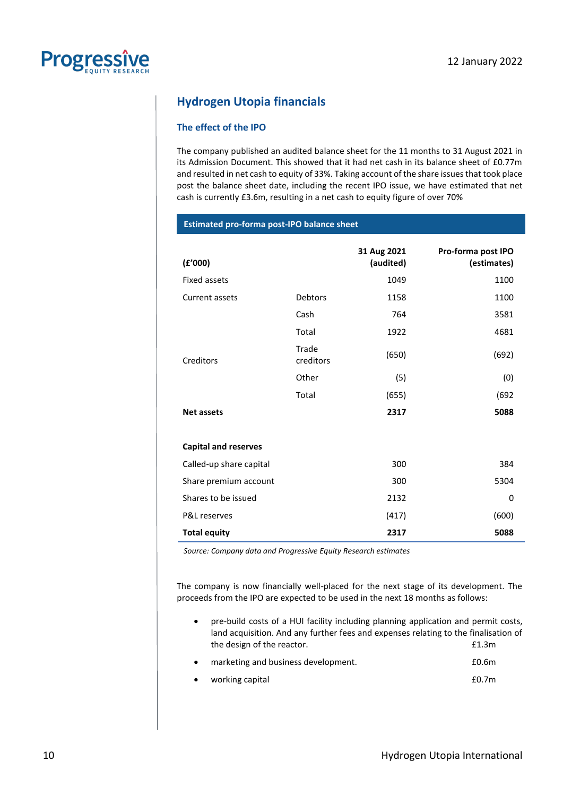### **Hydrogen Utopia financials**

**Estimated pro-forma post-IPO balance sheet**

#### **The effect of the IPO**

The company published an audited balance sheet for the 11 months to 31 August 2021 in its Admission Document. This showed that it had net cash in its balance sheet of £0.77m and resulted in net cash to equity of 33%. Taking account of the share issues that took place post the balance sheet date, including the recent IPO issue, we have estimated that net cash is currently £3.6m, resulting in a net cash to equity figure of over 70%

| (f'000)                     |                    | 31 Aug 2021<br>(audited) | Pro-forma post IPO<br>(estimates) |
|-----------------------------|--------------------|--------------------------|-----------------------------------|
| <b>Fixed assets</b>         |                    | 1049                     | 1100                              |
| Current assets              | <b>Debtors</b>     | 1158                     | 1100                              |
|                             | Cash               | 764                      | 3581                              |
|                             | Total              | 1922                     | 4681                              |
| Creditors                   | Trade<br>creditors | (650)                    | (692)                             |
|                             | Other              | (5)                      | (0)                               |
|                             | Total              | (655)                    | (692)                             |
| <b>Net assets</b>           |                    | 2317                     | 5088                              |
|                             |                    |                          |                                   |
| <b>Capital and reserves</b> |                    |                          |                                   |
| Called-up share capital     |                    | 300                      | 384                               |
| Share premium account       |                    | 300                      | 5304                              |
| Shares to be issued         |                    | 2132                     | 0                                 |
| <b>P&amp;L</b> reserves     |                    | (417)                    | (600)                             |
| <b>Total equity</b>         |                    | 2317                     | 5088                              |

*Source: Company data and Progressive Equity Research estimates*

The company is now financially well-placed for the next stage of its development. The proceeds from the IPO are expected to be used in the next 18 months as follows:

- pre-build costs of a HUI facility including planning application and permit costs, land acquisition. And any further fees and expenses relating to the finalisation of the design of the reactor. **EXACTE 1.3m**
- marketing and business development. £0.6m
- working capital £0.7m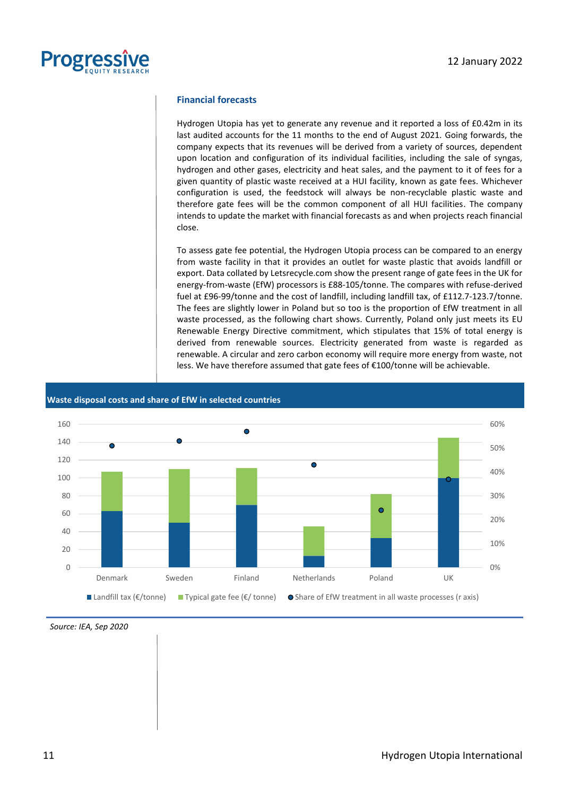

#### **Financial forecasts**

Hydrogen Utopia has yet to generate any revenue and it reported a loss of £0.42m in its last audited accounts for the 11 months to the end of August 2021. Going forwards, the company expects that its revenues will be derived from a variety of sources, dependent upon location and configuration of its individual facilities, including the sale of syngas, hydrogen and other gases, electricity and heat sales, and the payment to it of fees for a given quantity of plastic waste received at a HUI facility, known as gate fees. Whichever configuration is used, the feedstock will always be non-recyclable plastic waste and therefore gate fees will be the common component of all HUI facilities. The company intends to update the market with financial forecasts as and when projects reach financial close.

To assess gate fee potential, the Hydrogen Utopia process can be compared to an energy from waste facility in that it provides an outlet for waste plastic that avoids landfill or export. Data collated by Letsrecycle.com show the present range of gate fees in the UK for energy-from-waste (EfW) processors is £88-105/tonne. The compares with refuse-derived fuel at £96-99/tonne and the cost of landfill, including landfill tax, of £112.7-123.7/tonne. The fees are slightly lower in Poland but so too is the proportion of EfW treatment in all waste processed, as the following chart shows. Currently, Poland only just meets its EU Renewable Energy Directive commitment, which stipulates that 15% of total energy is derived from renewable sources. Electricity generated from waste is regarded as renewable. A circular and zero carbon economy will require more energy from waste, not less. We have therefore assumed that gate fees of €100/tonne will be achievable.





*Source: IEA, Sep 2020*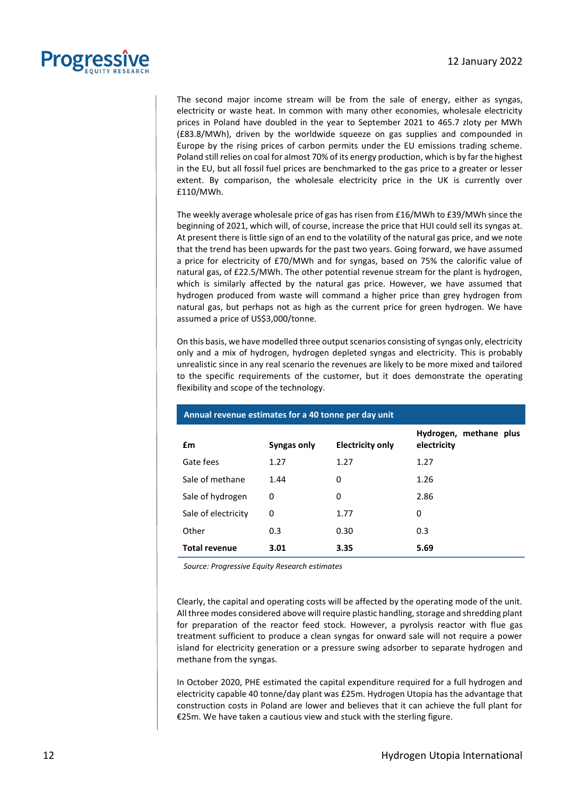

The second major income stream will be from the sale of energy, either as syngas, electricity or waste heat. In common with many other economies, wholesale electricity prices in Poland have doubled in the year to September 2021 to 465.7 zloty per MWh (£83.8/MWh), driven by the worldwide squeeze on gas supplies and compounded in Europe by the rising prices of carbon permits under the EU emissions trading scheme. Poland still relies on coal for almost 70% of its energy production, which is by far the highest in the EU, but all fossil fuel prices are benchmarked to the gas price to a greater or lesser extent. By comparison, the wholesale electricity price in the UK is currently over £110/MWh.

The weekly average wholesale price of gas has risen from £16/MWh to £39/MWh since the beginning of 2021, which will, of course, increase the price that HUI could sell its syngas at. At present there is little sign of an end to the volatility of the natural gas price, and we note that the trend has been upwards for the past two years. Going forward, we have assumed a price for electricity of £70/MWh and for syngas, based on 75% the calorific value of natural gas, of £22.5/MWh. The other potential revenue stream for the plant is hydrogen, which is similarly affected by the natural gas price. However, we have assumed that hydrogen produced from waste will command a higher price than grey hydrogen from natural gas, but perhaps not as high as the current price for green hydrogen. We have assumed a price of US\$3,000/tonne.

On this basis, we have modelled three output scenarios consisting of syngas only, electricity only and a mix of hydrogen, hydrogen depleted syngas and electricity. This is probably unrealistic since in any real scenario the revenues are likely to be more mixed and tailored to the specific requirements of the customer, but it does demonstrate the operating flexibility and scope of the technology.

| £m                   | Syngas only | <b>Electricity only</b> | Hydrogen, methane plus<br>electricity |
|----------------------|-------------|-------------------------|---------------------------------------|
| Gate fees            | 1.27        | 1.27                    | 1.27                                  |
| Sale of methane      | 1.44        | 0                       | 1.26                                  |
| Sale of hydrogen     | 0           | 0                       | 2.86                                  |
| Sale of electricity  | 0           | 1.77                    | 0                                     |
| Other                | 0.3         | 0.30                    | 0.3                                   |
| <b>Total revenue</b> | 3.01        | 3.35                    | 5.69                                  |

#### **Annual revenue estimates for a 40 tonne per day unit**

*Source: Progressive Equity Research estimates*

Clearly, the capital and operating costs will be affected by the operating mode of the unit. All three modes considered above will require plastic handling, storage and shredding plant for preparation of the reactor feed stock. However, a pyrolysis reactor with flue gas treatment sufficient to produce a clean syngas for onward sale will not require a power island for electricity generation or a pressure swing adsorber to separate hydrogen and methane from the syngas.

In October 2020, PHE estimated the capital expenditure required for a full hydrogen and electricity capable 40 tonne/day plant was £25m. Hydrogen Utopia has the advantage that construction costs in Poland are lower and believes that it can achieve the full plant for €25m. We have taken a cautious view and stuck with the sterling figure.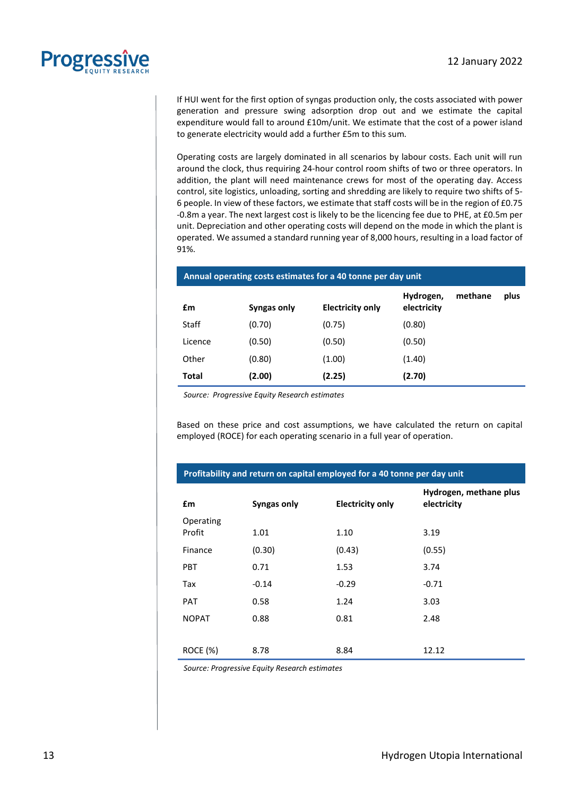

If HUI went for the first option of syngas production only, the costs associated with power generation and pressure swing adsorption drop out and we estimate the capital expenditure would fall to around £10m/unit. We estimate that the cost of a power island to generate electricity would add a further £5m to this sum.

Operating costs are largely dominated in all scenarios by labour costs. Each unit will run around the clock, thus requiring 24-hour control room shifts of two or three operators. In addition, the plant will need maintenance crews for most of the operating day. Access control, site logistics, unloading, sorting and shredding are likely to require two shifts of 5- 6 people. In view of these factors, we estimate that staff costs will be in the region of £0.75 -0.8m a year. The next largest cost is likely to be the licencing fee due to PHE, at £0.5m per unit. Depreciation and other operating costs will depend on the mode in which the plant is operated. We assumed a standard running year of 8,000 hours, resulting in a load factor of 91%.

| £m           | Syngas only | <b>Electricity only</b> | Hydrogen,<br>electricity | methane | plus |
|--------------|-------------|-------------------------|--------------------------|---------|------|
| Staff        | (0.70)      | (0.75)                  | (0.80)                   |         |      |
| Licence      | (0.50)      | (0.50)                  | (0.50)                   |         |      |
| Other        | (0.80)      | (1.00)                  | (1.40)                   |         |      |
| <b>Total</b> | (2.00)      | (2.25)                  | (2.70)                   |         |      |

### **Annual operating costs estimates for a 40 tonne per day unit**

*Source: Progressive Equity Research estimates*

Based on these price and cost assumptions, we have calculated the return on capital employed (ROCE) for each operating scenario in a full year of operation.

**Profitability and return on capital employed for a 40 tonne per day unit**

| £m                  | Syngas only | <b>Electricity only</b> | Hydrogen, methane plus<br>electricity |
|---------------------|-------------|-------------------------|---------------------------------------|
| Operating<br>Profit | 1.01        | 1.10                    | 3.19                                  |
| Finance             | (0.30)      | (0.43)                  | (0.55)                                |
| <b>PBT</b>          | 0.71        | 1.53                    | 3.74                                  |
| Tax                 | $-0.14$     | $-0.29$                 | $-0.71$                               |
| <b>PAT</b>          | 0.58        | 1.24                    | 3.03                                  |
| <b>NOPAT</b>        | 0.88        | 0.81                    | 2.48                                  |
|                     |             |                         |                                       |
| <b>ROCE (%)</b>     | 8.78        | 8.84                    | 12.12                                 |

*Source: Progressive Equity Research estimates*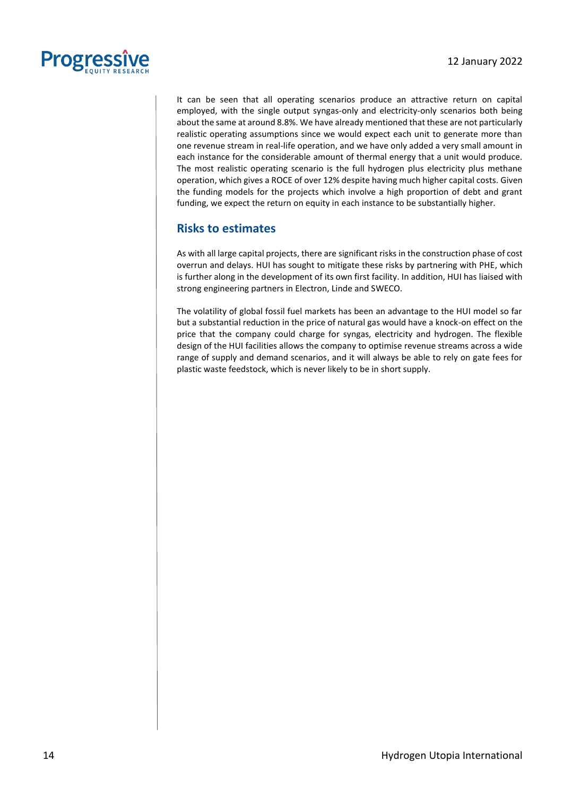

It can be seen that all operating scenarios produce an attractive return on capital employed, with the single output syngas-only and electricity-only scenarios both being about the same at around 8.8%. We have already mentioned that these are not particularly realistic operating assumptions since we would expect each unit to generate more than one revenue stream in real-life operation, and we have only added a very small amount in each instance for the considerable amount of thermal energy that a unit would produce. The most realistic operating scenario is the full hydrogen plus electricity plus methane operation, which gives a ROCE of over 12% despite having much higher capital costs. Given the funding models for the projects which involve a high proportion of debt and grant funding, we expect the return on equity in each instance to be substantially higher.

### **Risks to estimates**

As with all large capital projects, there are significant risks in the construction phase of cost overrun and delays. HUI has sought to mitigate these risks by partnering with PHE, which is further along in the development of its own first facility. In addition, HUI has liaised with strong engineering partners in Electron, Linde and SWECO.

The volatility of global fossil fuel markets has been an advantage to the HUI model so far but a substantial reduction in the price of natural gas would have a knock-on effect on the price that the company could charge for syngas, electricity and hydrogen. The flexible design of the HUI facilities allows the company to optimise revenue streams across a wide range of supply and demand scenarios, and it will always be able to rely on gate fees for plastic waste feedstock, which is never likely to be in short supply.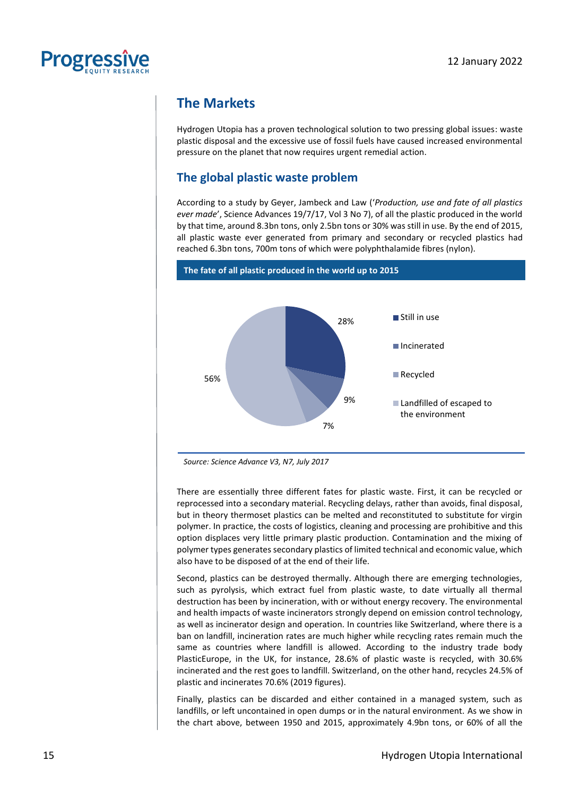

### **The Markets**

Hydrogen Utopia has a proven technological solution to two pressing global issues: waste plastic disposal and the excessive use of fossil fuels have caused increased environmental pressure on the planet that now requires urgent remedial action.

### **The global plastic waste problem**

According to a study by Geyer, Jambeck and Law ('*Production, use and fate of all plastics ever made*', Science Advances 19/7/17, Vol 3 No 7), of all the plastic produced in the world by that time, around 8.3bn tons, only 2.5bn tons or 30% was still in use. By the end of 2015, all plastic waste ever generated from primary and secondary or recycled plastics had reached 6.3bn tons, 700m tons of which were polyphthalamide fibres (nylon).



*Source: Science Advance V3, N7, July 2017*

There are essentially three different fates for plastic waste. First, it can be recycled or reprocessed into a secondary material. Recycling delays, rather than avoids, final disposal, but in theory thermoset plastics can be melted and reconstituted to substitute for virgin polymer. In practice, the costs of logistics, cleaning and processing are prohibitive and this option displaces very little primary plastic production. Contamination and the mixing of polymer types generates secondary plastics of limited technical and economic value, which also have to be disposed of at the end of their life.

Second, plastics can be destroyed thermally. Although there are emerging technologies, such as pyrolysis, which extract fuel from plastic waste, to date virtually all thermal destruction has been by incineration, with or without energy recovery. The environmental and health impacts of waste incinerators strongly depend on emission control technology, as well as incinerator design and operation. In countries like Switzerland, where there is a ban on landfill, incineration rates are much higher while recycling rates remain much the same as countries where landfill is allowed. According to the industry trade body PlasticEurope, in the UK, for instance, 28.6% of plastic waste is recycled, with 30.6% incinerated and the rest goes to landfill. Switzerland, on the other hand, recycles 24.5% of plastic and incinerates 70.6% (2019 figures).

Finally, plastics can be discarded and either contained in a managed system, such as landfills, or left uncontained in open dumps or in the natural environment. As we show in the chart above, between 1950 and 2015, approximately 4.9bn tons, or 60% of all the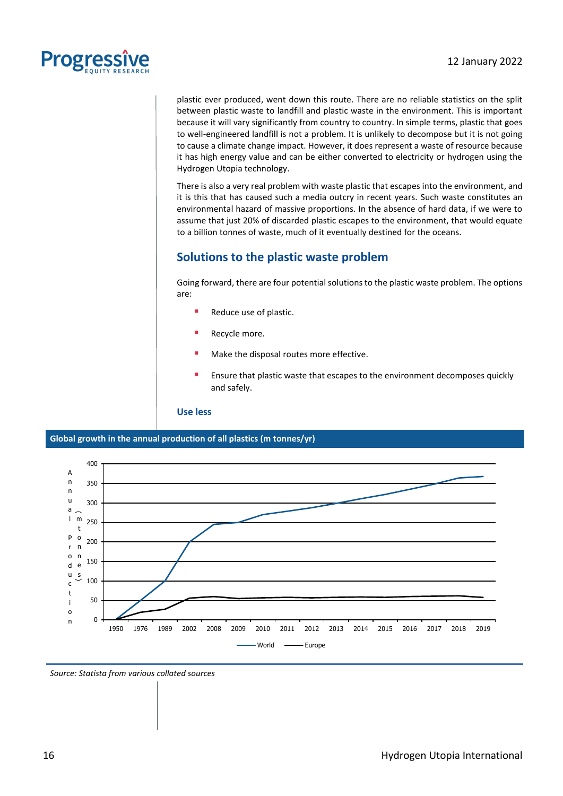

plastic ever produced, went down this route. There are no reliable statistics on the split between plastic waste to landfill and plastic waste in the environment. This is important because it will vary significantly from country to country. In simple terms, plastic that goes to well-engineered landfill is not a problem. It is unlikely to decompose but it is not going to cause a climate change impact. However, it does represent a waste of resource because it has high energy value and can be either converted to electricity or hydrogen using the Hydrogen Utopia technology.

There is also a very real problem with waste plastic that escapes into the environment, and it is this that has caused such a media outcry in recent years. Such waste constitutes an environmental hazard of massive proportions. In the absence of hard data, if we were to assume that just 20% of discarded plastic escapes to the environment, that would equate to a billion tonnes of waste, much of it eventually destined for the oceans.

### **Solutions to the plastic waste problem**

Going forward, there are four potential solutions to the plastic waste problem. The options are:

- Reduce use of plastic.
- Recycle more.
- Make the disposal routes more effective.
- Ensure that plastic waste that escapes to the environment decomposes quickly and safely.

**Use less**

**Global growth in the annual production of all plastics (m tonnes/yr)**



*Source: Statista from various collated sources*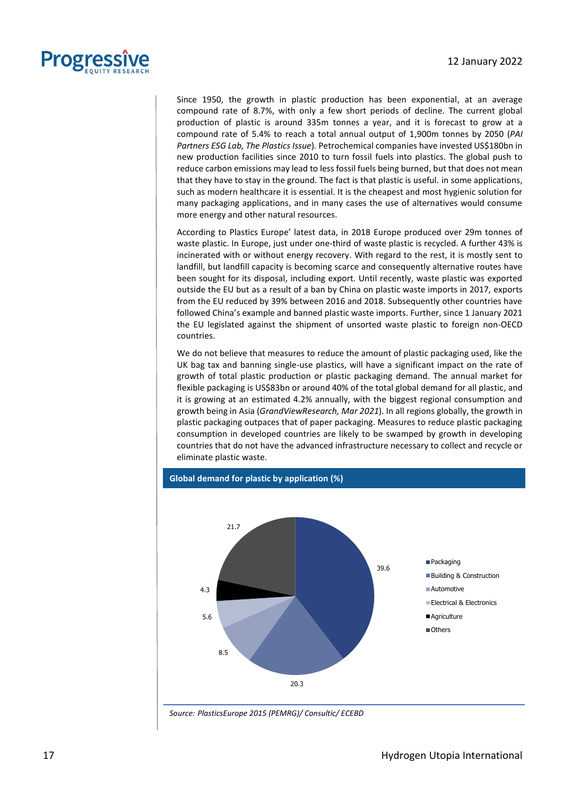

Since 1950, the growth in plastic production has been exponential, at an average compound rate of 8.7%, with only a few short periods of decline. The current global production of plastic is around 335m tonnes a year, and it is forecast to grow at a compound rate of 5.4% to reach a total annual output of 1,900m tonnes by 2050 (*PAI Partners ESG Lab, The Plastics Issue*)*.* Petrochemical companies have invested US\$180bn in new production facilities since 2010 to turn fossil fuels into plastics. The global push to reduce carbon emissions may lead to less fossil fuels being burned, but that does not mean that they have to stay in the ground. The fact is that plastic is useful. in some applications, such as modern healthcare it is essential. It is the cheapest and most hygienic solution for many packaging applications, and in many cases the use of alternatives would consume more energy and other natural resources.

According to Plastics Europe' latest data, in 2018 Europe produced over 29m tonnes of waste plastic. In Europe, just under one-third of waste plastic is recycled. A further 43% is incinerated with or without energy recovery. With regard to the rest, it is mostly sent to landfill, but landfill capacity is becoming scarce and consequently alternative routes have been sought for its disposal, including export. Until recently, waste plastic was exported outside the EU but as a result of a ban by China on plastic waste imports in 2017, exports from the EU reduced by 39% between 2016 and 2018. Subsequently other countries have followed China's example and banned plastic waste imports. Further, since 1 January 2021 the EU legislated against the shipment of unsorted waste plastic to foreign non-OECD countries.

We do not believe that measures to reduce the amount of plastic packaging used, like the UK bag tax and banning single-use plastics, will have a significant impact on the rate of growth of total plastic production or plastic packaging demand. The annual market for flexible packaging is US\$83bn or around 40% of the total global demand for all plastic, and it is growing at an estimated 4.2% annually, with the biggest regional consumption and growth being in Asia (*GrandViewResearch, Mar 2021*)*.* In all regions globally, the growth in plastic packaging outpaces that of paper packaging. Measures to reduce plastic packaging consumption in developed countries are likely to be swamped by growth in developing countries that do not have the advanced infrastructure necessary to collect and recycle or eliminate plastic waste.



*Source: PlasticsEurope 2015 (PEMRG)/ Consultic/ ECEBD*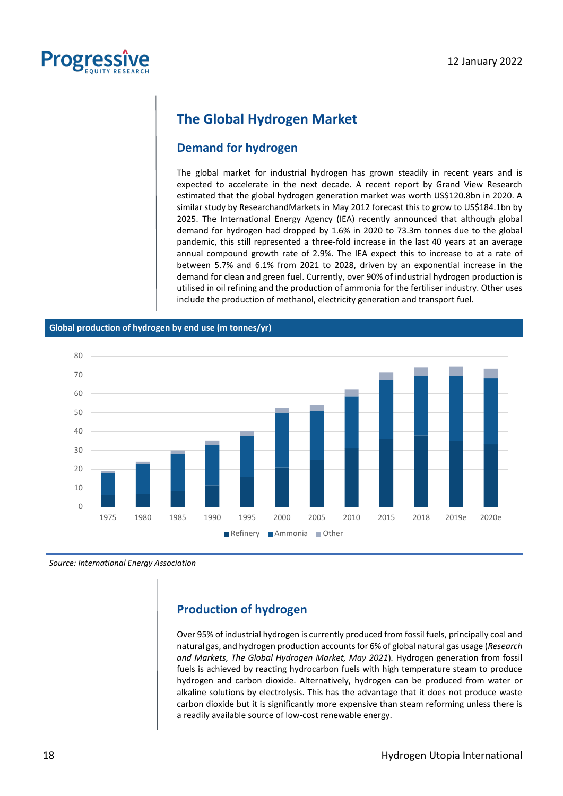

### **The Global Hydrogen Market**

### **Demand for hydrogen**

The global market for industrial hydrogen has grown steadily in recent years and is expected to accelerate in the next decade. A recent report by Grand View Research estimated that the global hydrogen generation market was worth US\$120.8bn in 2020. A similar study by ResearchandMarkets in May 2012 forecast this to grow to US\$184.1bn by 2025. The International Energy Agency (IEA) recently announced that although global demand for hydrogen had dropped by 1.6% in 2020 to 73.3m tonnes due to the global pandemic, this still represented a three-fold increase in the last 40 years at an average annual compound growth rate of 2.9%. The IEA expect this to increase to at a rate of between 5.7% and 6.1% from 2021 to 2028, driven by an exponential increase in the demand for clean and green fuel. Currently, over 90% of industrial hydrogen production is utilised in oil refining and the production of ammonia for the fertiliser industry. Other uses include the production of methanol, electricity generation and transport fuel.

#### **Global production of hydrogen by end use (m tonnes/yr)**



*Source: International Energy Association*

### **Production of hydrogen**

Over 95% of industrial hydrogen is currently produced from fossil fuels, principally coal and natural gas, and hydrogen production accounts for 6% of global natural gas usage (*Research and Markets, The Global Hydrogen Market, May 2021*)*.* Hydrogen generation from fossil fuels is achieved by reacting hydrocarbon fuels with high temperature steam to produce hydrogen and carbon dioxide. Alternatively, hydrogen can be produced from water or alkaline solutions by electrolysis. This has the advantage that it does not produce waste carbon dioxide but it is significantly more expensive than steam reforming unless there is a readily available source of low-cost renewable energy.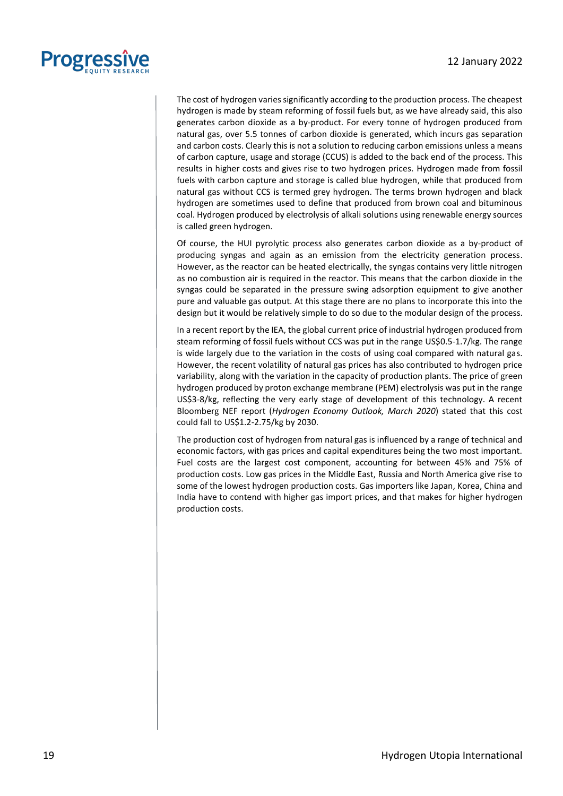

The cost of hydrogen varies significantly according to the production process. The cheapest hydrogen is made by steam reforming of fossil fuels but, as we have already said, this also generates carbon dioxide as a by-product. For every tonne of hydrogen produced from natural gas, over 5.5 tonnes of carbon dioxide is generated, which incurs gas separation and carbon costs. Clearly this is not a solution to reducing carbon emissions unless a means of carbon capture, usage and storage (CCUS) is added to the back end of the process. This results in higher costs and gives rise to two hydrogen prices. Hydrogen made from fossil fuels with carbon capture and storage is called blue hydrogen, while that produced from natural gas without CCS is termed grey hydrogen. The terms brown hydrogen and black hydrogen are sometimes used to define that produced from brown coal and bituminous coal. Hydrogen produced by electrolysis of alkali solutions using renewable energy sources is called green hydrogen.

Of course, the HUI pyrolytic process also generates carbon dioxide as a by-product of producing syngas and again as an emission from the electricity generation process. However, as the reactor can be heated electrically, the syngas contains very little nitrogen as no combustion air is required in the reactor. This means that the carbon dioxide in the syngas could be separated in the pressure swing adsorption equipment to give another pure and valuable gas output. At this stage there are no plans to incorporate this into the design but it would be relatively simple to do so due to the modular design of the process.

In a recent report by the IEA, the global current price of industrial hydrogen produced from steam reforming of fossil fuels without CCS was put in the range US\$0.5-1.7/kg. The range is wide largely due to the variation in the costs of using coal compared with natural gas. However, the recent volatility of natural gas prices has also contributed to hydrogen price variability, along with the variation in the capacity of production plants. The price of green hydrogen produced by proton exchange membrane (PEM) electrolysis was put in the range US\$3-8/kg, reflecting the very early stage of development of this technology. A recent Bloomberg NEF report (*Hydrogen Economy Outlook, March 2020*) stated that this cost could fall to US\$1.2-2.75/kg by 2030.

The production cost of hydrogen from natural gas is influenced by a range of technical and economic factors, with gas prices and capital expenditures being the two most important. Fuel costs are the largest cost component, accounting for between 45% and 75% of production costs. Low gas prices in the Middle East, Russia and North America give rise to some of the lowest hydrogen production costs. Gas importers like Japan, Korea, China and India have to contend with higher gas import prices, and that makes for higher hydrogen production costs.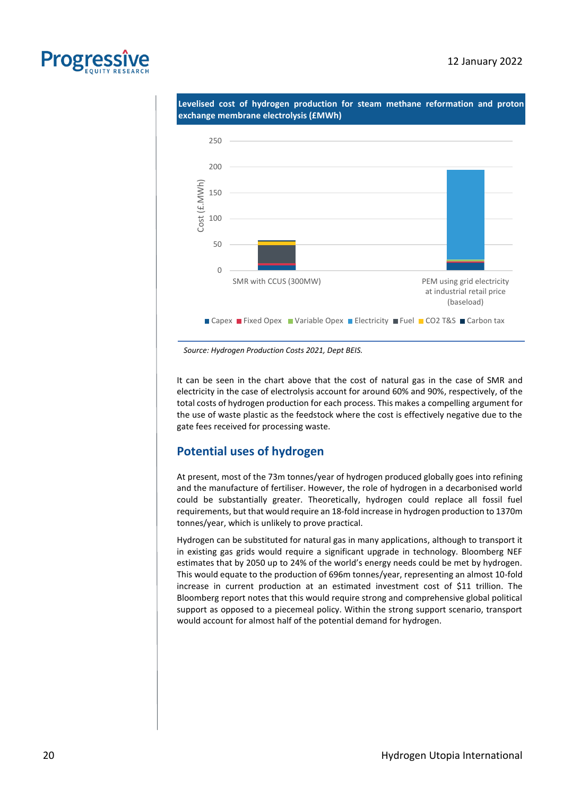



*Source: Hydrogen Production Costs 2021, Dept BEIS.*

It can be seen in the chart above that the cost of natural gas in the case of SMR and electricity in the case of electrolysis account for around 60% and 90%, respectively, of the total costs of hydrogen production for each process. This makes a compelling argument for the use of waste plastic as the feedstock where the cost is effectively negative due to the gate fees received for processing waste.

### **Potential uses of hydrogen**

At present, most of the 73m tonnes/year of hydrogen produced globally goes into refining and the manufacture of fertiliser. However, the role of hydrogen in a decarbonised world could be substantially greater. Theoretically, hydrogen could replace all fossil fuel requirements, but that would require an 18-fold increase in hydrogen production to 1370m tonnes/year, which is unlikely to prove practical.

Hydrogen can be substituted for natural gas in many applications, although to transport it in existing gas grids would require a significant upgrade in technology. Bloomberg NEF estimates that by 2050 up to 24% of the world's energy needs could be met by hydrogen. This would equate to the production of 696m tonnes/year, representing an almost 10-fold increase in current production at an estimated investment cost of \$11 trillion. The Bloomberg report notes that this would require strong and comprehensive global political support as opposed to a piecemeal policy. Within the strong support scenario, transport would account for almost half of the potential demand for hydrogen.

**Progres**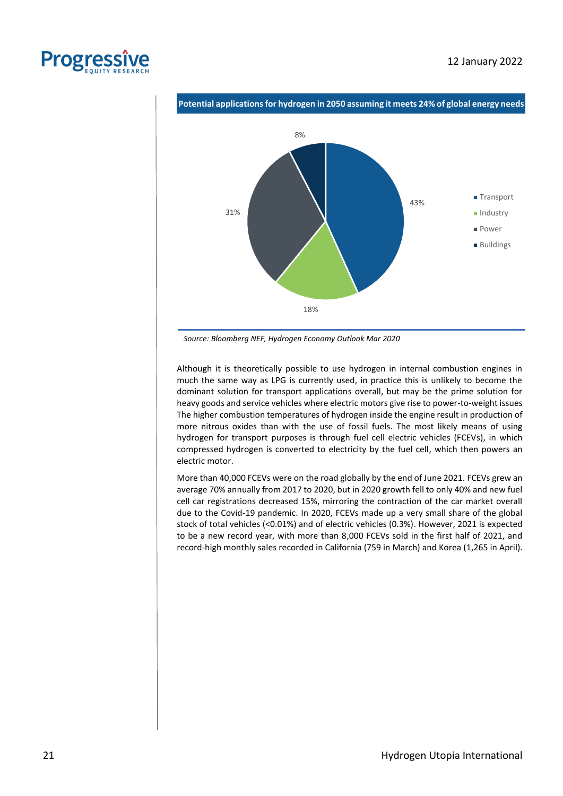



*Source: Bloomberg NEF, Hydrogen Economy Outlook Mar 2020*

Although it is theoretically possible to use hydrogen in internal combustion engines in much the same way as LPG is currently used, in practice this is unlikely to become the dominant solution for transport applications overall, but may be the prime solution for heavy goods and service vehicles where electric motors give rise to power-to-weight issues The higher combustion temperatures of hydrogen inside the engine result in production of more nitrous oxides than with the use of fossil fuels. The most likely means of using hydrogen for transport purposes is through fuel cell electric vehicles (FCEVs), in which compressed hydrogen is converted to electricity by the fuel cell, which then powers an electric motor.

More than 40,000 FCEVs were on the road globally by the end of June 2021. FCEVs grew an average 70% annually from 2017 to 2020, but in 2020 growth fell to only 40% and new fuel cell car registrations decreased 15%, mirroring the contraction of the car market overall due to the Covid-19 pandemic. In 2020, FCEVs made up a very small share of the global stock of total vehicles (<0.01%) and of electric vehicles (0.3%). However, 2021 is expected to be a new record year, with more than 8,000 FCEVs sold in the first half of 2021, and record-high monthly sales recorded in California (759 in March) and Korea (1,265 in April).